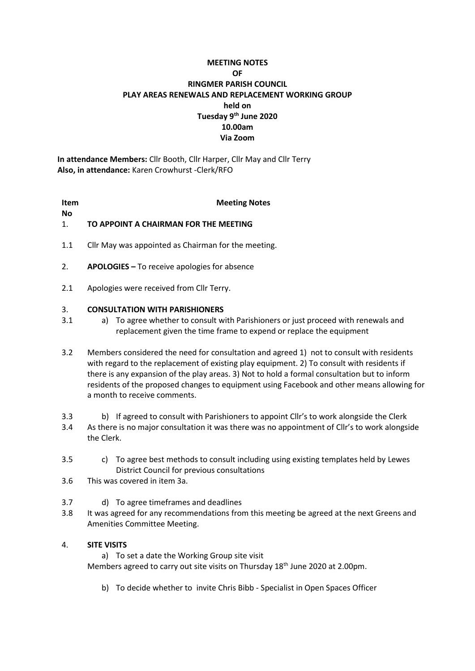# **MEETING NOTES OF RINGMER PARISH COUNCIL PLAY AREAS RENEWALS AND REPLACEMENT WORKING GROUP held on Tuesday 9th June 2020 10.00am Via Zoom**

**In attendance Members:** Cllr Booth, Cllr Harper, Cllr May and Cllr Terry **Also, in attendance:** Karen Crowhurst -Clerk/RFO

**Item No**

## **Meeting Notes**

### 1. **TO APPOINT A CHAIRMAN FOR THE MEETING**

- 1.1 Cllr May was appointed as Chairman for the meeting.
- 2. **APOLOGIES –** To receive apologies for absence
- 2.1 Apologies were received from Cllr Terry.

### 3. **CONSULTATION WITH PARISHIONERS**

- 3.1 a) To agree whether to consult with Parishioners or just proceed with renewals and replacement given the time frame to expend or replace the equipment
- 3.2 Members considered the need for consultation and agreed 1) not to consult with residents with regard to the replacement of existing play equipment. 2) To consult with residents if there is any expansion of the play areas. 3) Not to hold a formal consultation but to inform residents of the proposed changes to equipment using Facebook and other means allowing for a month to receive comments.
- 3.3 b) If agreed to consult with Parishioners to appoint Cllr's to work alongside the Clerk
- 3.4 As there is no major consultation it was there was no appointment of Cllr's to work alongside the Clerk.
- 3.5 c) To agree best methods to consult including using existing templates held by Lewes District Council for previous consultations
- 3.6 This was covered in item 3a.
- 3.7 d) To agree timeframes and deadlines
- 3.8 It was agreed for any recommendations from this meeting be agreed at the next Greens and Amenities Committee Meeting.

## 4. **SITE VISITS**

a) To set a date the Working Group site visit Members agreed to carry out site visits on Thursday 18<sup>th</sup> June 2020 at 2.00pm.

b) To decide whether to invite Chris Bibb - Specialist in Open Spaces Officer